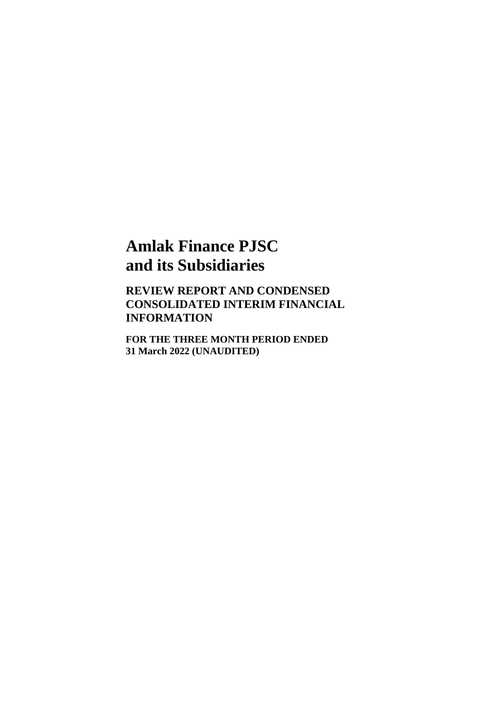**REVIEW REPORT AND CONDENSED CONSOLIDATED INTERIM FINANCIAL INFORMATION**

**FOR THE THREE MONTH PERIOD ENDED 31 March 2022 (UNAUDITED)**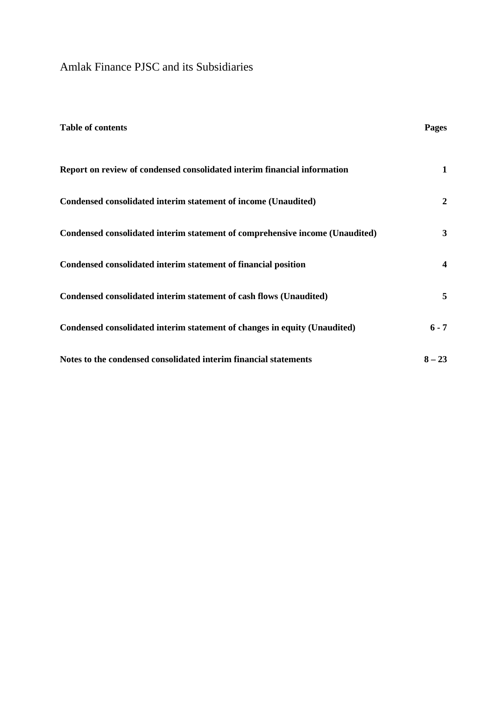| <b>Table of contents</b>                                                     | Pages    |
|------------------------------------------------------------------------------|----------|
| Report on review of condensed consolidated interim financial information     | 1        |
| Condensed consolidated interim statement of income (Unaudited)               | 2        |
| Condensed consolidated interim statement of comprehensive income (Unaudited) | 3        |
| Condensed consolidated interim statement of financial position               | 4        |
| Condensed consolidated interim statement of cash flows (Unaudited)           | 5        |
| Condensed consolidated interim statement of changes in equity (Unaudited)    | $6 - 7$  |
| Notes to the condensed consolidated interim financial statements             | $8 - 23$ |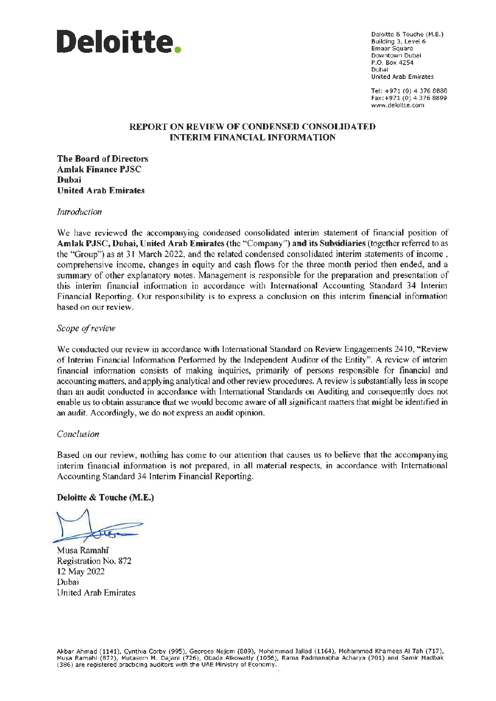

Deloitte & Touche (M.E.) Building 3, Level 6 **Emaar Square** Downtown Dubai P.O. Box 4254 Dubai **United Arab Emirates** 

Tel: +971 (0) 4 376 8888 Fax:+971 (0) 4 376 8899 www.deloltte.com

## **REPORT ON REVIEW OF CONDENSED CONSOLIDATED INTERIM FINANCIAL INFORMATION**

**The Board of Directors Amlak Finance PJSC Duhai United Arab Emirates** 

Introduction

We have reviewed the accompanying condensed consolidated interim statement of financial position of Amlak PJSC, Dubai, United Arab Emirates (the "Company") and its Subsidiaries (together referred to as the "Group") as at 31 March 2022, and the related condensed consolidated interim statements of income, comprehensive income, changes in equity and cash flows for the three month period then ended, and a summary of other explanatory notes. Management is responsible for the preparation and presentation of this interim financial information in accordance with International Accounting Standard 34 Interim Financial Reporting. Our responsibility is to express a conclusion on this interim financial information based on our review.

Scope of review

We conducted our review in accordance with International Standard on Review Engagements 2410, "Review of Interim Financial Information Performed by the Independent Auditor of the Entity". A review of interim financial information consists of making inquiries, primarily of persons responsible for financial and accounting matters, and applying analytical and other review procedures. A review is substantially less in scope than an audit conducted in accordance with International Standards on Auditing and consequently does not enable us to obtain assurance that we would become aware of all significant matters that might be identified in an audit. Accordingly, we do not express an audit opinion.

#### Conclusion

Based on our review, nothing has come to our attention that causes us to believe that the accompanying interim financial information is not prepared, in all material respects, in accordance with International Accounting Standard 34 Interim Financial Reporting.

Deloitte & Touche (M.E.)

Musa Ramahi Registration No. 872 12 May 2022 Dubai United Arab Emirates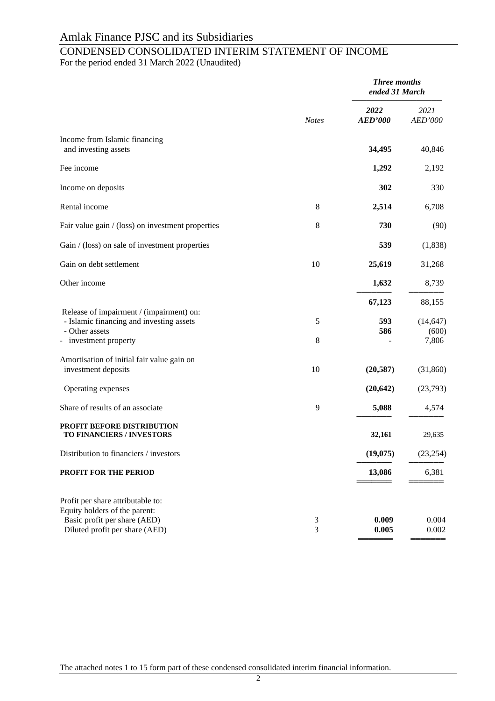# CONDENSED CONSOLIDATED INTERIM STATEMENT OF INCOME

For the period ended 31 March 2022 (Unaudited)

|                                                                                                                                      |              | <b>Three months</b><br>ended 31 March |                    |
|--------------------------------------------------------------------------------------------------------------------------------------|--------------|---------------------------------------|--------------------|
|                                                                                                                                      | <b>Notes</b> | 2022<br><b>AED'000</b>                | 2021<br>AED'000    |
| Income from Islamic financing<br>and investing assets                                                                                |              | 34,495                                | 40,846             |
| Fee income                                                                                                                           |              | 1,292                                 | 2,192              |
| Income on deposits                                                                                                                   |              | 302                                   | 330                |
| Rental income                                                                                                                        | 8            | 2,514                                 | 6,708              |
| Fair value gain / (loss) on investment properties                                                                                    | 8            | 730                                   | (90)               |
| Gain / (loss) on sale of investment properties                                                                                       |              | 539                                   | (1,838)            |
| Gain on debt settlement                                                                                                              | 10           | 25,619                                | 31,268             |
| Other income                                                                                                                         |              | 1,632                                 | 8,739              |
|                                                                                                                                      |              | 67,123                                | 88,155             |
| Release of impairment / (impairment) on:<br>- Islamic financing and investing assets<br>- Other assets                               | 5            | 593<br>586                            | (14, 647)<br>(600) |
| - investment property                                                                                                                | $\,8\,$      |                                       | 7,806              |
| Amortisation of initial fair value gain on<br>investment deposits                                                                    | 10           | (20, 587)                             | (31,860)           |
| Operating expenses                                                                                                                   |              | (20, 642)                             | (23,793)           |
| Share of results of an associate                                                                                                     | 9            | 5,088                                 | 4,574              |
| PROFIT BEFORE DISTRIBUTION<br>TO FINANCIERS / INVESTORS                                                                              |              | 32,161                                | 29,635             |
| Distribution to financiers / investors                                                                                               |              | (19,075)                              | (23, 254)          |
| PROFIT FOR THE PERIOD                                                                                                                |              | 13,086                                | 6,381              |
| Profit per share attributable to:<br>Equity holders of the parent:<br>Basic profit per share (AED)<br>Diluted profit per share (AED) | 3<br>3       | 0.009<br>0.005                        | 0.004<br>0.002     |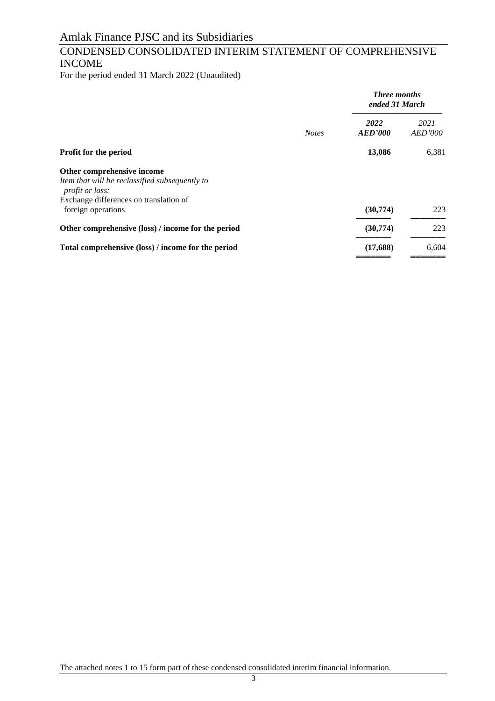## CONDENSED CONSOLIDATED INTERIM STATEMENT OF COMPREHENSIVE INCOME

For the period ended 31 March 2022 (Unaudited)

|                                                                          |              | <b>Three months</b><br>ended 31 March |                        |
|--------------------------------------------------------------------------|--------------|---------------------------------------|------------------------|
|                                                                          | <b>Notes</b> | 2022<br><b>AED'000</b>                | 2021<br><b>AED'000</b> |
| Profit for the period                                                    |              | 13,086                                | 6,381                  |
| Other comprehensive income                                               |              |                                       |                        |
| Item that will be reclassified subsequently to<br><i>profit or loss:</i> |              |                                       |                        |
| Exchange differences on translation of                                   |              |                                       |                        |
| foreign operations                                                       |              | (30,774)                              | 223                    |
| Other comprehensive (loss) / income for the period                       |              | (30,774)                              | 223                    |
| Total comprehensive (loss) / income for the period                       |              | (17,688)                              | 6,604                  |
|                                                                          |              |                                       |                        |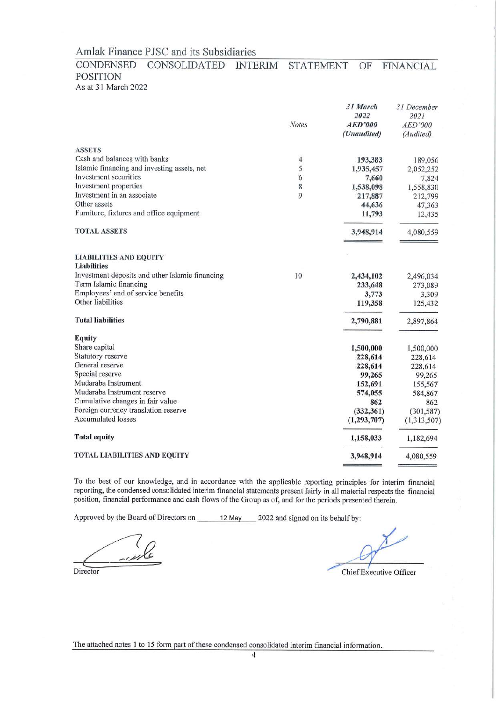#### CONDENSED CONSOLIDATED **INTERIM STATEMENT** OF **FINANCIAL POSITION** As at 31 March 2022

|                                                     | <b>Notes</b>   | 31 March<br>2022<br>AED'000<br>(Unaudited) | 31 December<br>2021<br>AED'000<br>(Audited) |
|-----------------------------------------------------|----------------|--------------------------------------------|---------------------------------------------|
| <b>ASSETS</b>                                       |                |                                            |                                             |
| Cash and balances with banks                        | $\overline{4}$ | 193,383                                    | 189,056                                     |
| Islamic financing and investing assets, net         | 5              | 1,935,457                                  | 2,052,252                                   |
| Investment securities                               | 6              | 7,660                                      | 7,824                                       |
| Investment properties                               | 8              | 1,538,098                                  | 1,558,830                                   |
| Investment in an associate                          | 9              | 217,887                                    | 212,799                                     |
| Other assets                                        |                | 44,636                                     | 47,363                                      |
| Furniture, fixtures and office equipment            |                | 11,793                                     | 12,435                                      |
| <b>TOTAL ASSETS</b>                                 |                | 3,948,914                                  | 4,080,559                                   |
| <b>LIABILITIES AND EQUITY</b><br><b>Liabilities</b> |                |                                            |                                             |
| Investment deposits and other Islamic financing     | 10             |                                            |                                             |
| Term Islamic financing                              |                | 2,434,102                                  | 2,496,034                                   |
| Employees' end of service benefits                  |                | 233,648                                    | 273,089                                     |
| Other liabilities                                   |                | 3,773<br>119,358                           | 3,309<br>125,432                            |
|                                                     |                |                                            |                                             |
| <b>Total liabilities</b>                            |                | 2,790,881                                  | 2,897,864                                   |
| <b>Equity</b>                                       |                |                                            |                                             |
| Share capital                                       |                | 1,500,000                                  | 1,500,000                                   |
| Statutory reserve                                   |                | 228,614                                    | 228,614                                     |
| General reserve                                     |                | 228,614                                    | 228,614                                     |
| Special reserve                                     |                | 99,265                                     | 99,265                                      |
| Mudaraba Instrument                                 |                | 152,691                                    | 155,567                                     |
| Mudaraba Instrument reserve                         |                | 574,055                                    | 584,867                                     |
| Cumulative changes in fair value                    |                | 862                                        | 862                                         |
| Foreign currency translation reserve                |                | (332, 361)                                 | (301, 587)                                  |
| <b>Accumulated losses</b>                           |                | (1, 293, 707)                              | (1,313,507)                                 |
| <b>Total equity</b>                                 |                | 1,158,033                                  | 1,182,694                                   |
| <b>TOTAL LIABILITIES AND EQUITY</b>                 |                | 3,948,914                                  | 4,080,559                                   |
|                                                     |                |                                            |                                             |

To the best of our knowledge, and in accordance with the applicable reporting principles for interim financial reporting, the condensed consolidated interim financial statements present fairly in all material respects the financial position, financial performance and cash flows of the Group as of, and for the periods presented therein.

Approved by the Board of Directors on 12 May 2022 and signed on its behalf by:

Director

Chief Executive Officer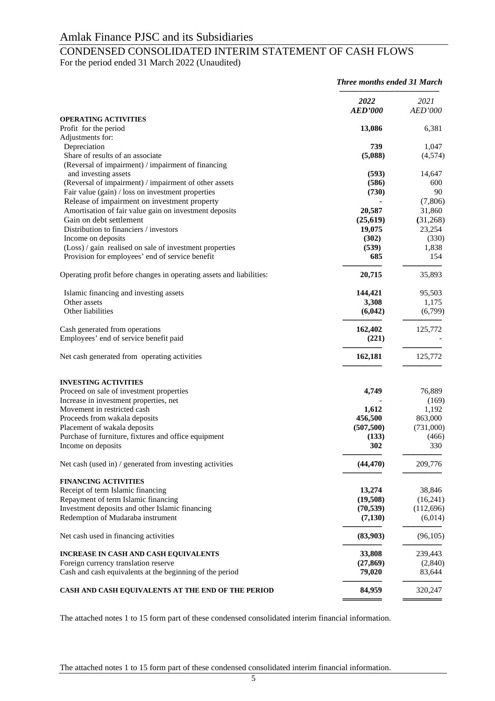## CONDENSED CONSOLIDATED INTERIM STATEMENT OF CASH FLOWS

For the period ended 31 March 2022 (Unaudited)

|                                                                      | Three months ended 31 March |                 |
|----------------------------------------------------------------------|-----------------------------|-----------------|
|                                                                      | 2022<br><b>AED'000</b>      | 2021<br>AED'000 |
| <b>OPERATING ACTIVITIES</b>                                          |                             |                 |
| Profit for the period<br>Adjustments for:                            | 13,086                      | 6,381           |
| Depreciation                                                         | 739                         | 1,047           |
| Share of results of an associate                                     | (5,088)                     | (4,574)         |
| (Reversal of impairment) / impairment of financing                   |                             |                 |
| and investing assets                                                 | (593)                       | 14,647          |
| (Reversal of impairment) / impairment of other assets                | (586)                       | 600             |
| Fair value (gain) / loss on investment properties                    | (730)                       | 90              |
| Release of impairment on investment property                         |                             | (7,806)         |
| Amortisation of fair value gain on investment deposits               | 20,587                      | 31,860          |
| Gain on debt settlement                                              | (25, 619)                   | (31,268)        |
| Distribution to financiers / investors                               | 19,075                      | 23,254          |
| Income on deposits                                                   | (302)                       | (330)           |
| (Loss) / gain realised on sale of investment properties              | (539)                       | 1,838           |
| Provision for employees' end of service benefit                      | 685                         | 154             |
| Operating profit before changes in operating assets and liabilities: | 20,715                      | 35,893          |
| Islamic financing and investing assets                               | 144,421                     | 95,503          |
| Other assets                                                         | 3,308                       | 1,175           |
| Other liabilities                                                    | (6,042)                     | (6,799)         |
| Cash generated from operations                                       | 162,402                     | 125,772         |
| Employees' end of service benefit paid                               | (221)                       |                 |
| Net cash generated from operating activities                         | 162,181                     | 125,772         |
| <b>INVESTING ACTIVITIES</b>                                          |                             |                 |
| Proceed on sale of investment properties                             | 4,749                       | 76,889          |
| Increase in investment properties, net                               |                             | (169)           |
| Movement in restricted cash                                          | 1,612                       | 1,192           |
| Proceeds from wakala deposits                                        | 456,500                     | 863,000         |
| Placement of wakala deposits                                         | (507, 500)                  | (731,000)       |
| Purchase of furniture, fixtures and office equipment                 | (133)                       | (466)           |
| Income on deposits                                                   | 302                         | 330             |
| Net cash (used in) / generated from investing activities             | (44, 470)                   | 209,776         |
| <b>FINANCING ACTIVITIES</b>                                          |                             |                 |
| Receipt of term Islamic financing                                    | 13,274                      | 38,846          |
| Repayment of term Islamic financing                                  | (19,508)                    | (16,241)        |
| Investment deposits and other Islamic financing                      | (70, 539)                   | (112,696)       |
| Redemption of Mudaraba instrument                                    | (7,130)                     | (6,014)         |
| Net cash used in financing activities                                | (83,903)                    | (96,105)        |
| <b>INCREASE IN CASH AND CASH EQUIVALENTS</b>                         | 33,808                      | 239,443         |
| Foreign currency translation reserve                                 | (27, 869)                   | (2,840)         |
| Cash and cash equivalents at the beginning of the period             | 79,020                      | 83,644          |
| CASH AND CASH EQUIVALENTS AT THE END OF THE PERIOD                   | 84,959                      | 320,247         |

The attached notes 1 to 15 form part of these condensed consolidated interim financial information.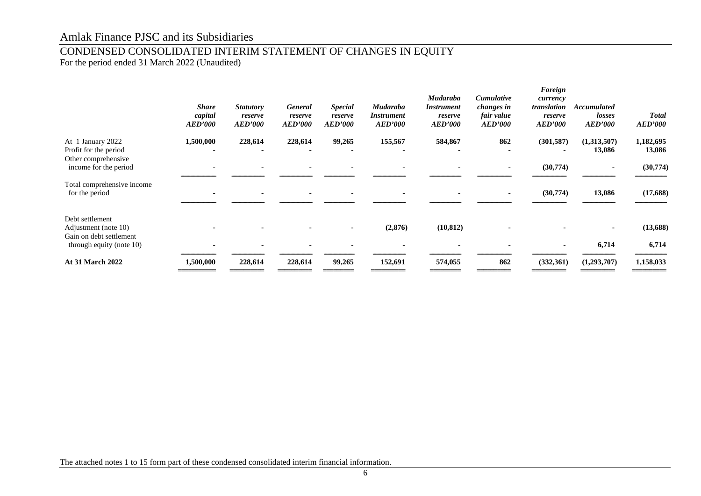## CONDENSED CONSOLIDATED INTERIM STATEMENT OF CHANGES IN EQUITY

For the period ended 31 March 2022 (Unaudited)

|                                                                    | <b>Share</b><br>capital<br><b>AED'000</b> | <b>Statutory</b><br>reserve<br><b>AED'000</b> | <b>General</b><br>reserve<br><b>AED'000</b> | <b>Special</b><br>reserve<br><b>AED'000</b> | <b>Mudaraba</b><br><i><b>Instrument</b></i><br><b>AED'000</b> | <b>Mudaraba</b><br><i>Instrument</i><br>reserve<br><i><b>AED'000</b></i> | Cumulative<br>changes in<br>fair value<br><b>AED'000</b> | Foreign<br>currency<br>translation<br>reserve<br><b>AED'000</b> | <b>Accumulated</b><br>losses<br><b>AED'000</b> | <b>Total</b><br><b>AED'000</b> |
|--------------------------------------------------------------------|-------------------------------------------|-----------------------------------------------|---------------------------------------------|---------------------------------------------|---------------------------------------------------------------|--------------------------------------------------------------------------|----------------------------------------------------------|-----------------------------------------------------------------|------------------------------------------------|--------------------------------|
| At 1 January 2022<br>Profit for the period<br>Other comprehensive  | 1,500,000                                 | 228,614                                       | 228,614                                     | 99,265                                      | 155,567                                                       | 584,867                                                                  | 862                                                      | (301, 587)                                                      | (1,313,507)<br>13,086                          | 1,182,695<br>13,086            |
| income for the period                                              |                                           |                                               |                                             |                                             |                                                               |                                                                          |                                                          | (30,774)                                                        |                                                | (30,774)                       |
| Total comprehensive income<br>for the period                       |                                           |                                               |                                             |                                             |                                                               |                                                                          |                                                          | (30,774)                                                        | 13,086                                         | (17, 688)                      |
| Debt settlement<br>Adjustment (note 10)<br>Gain on debt settlement |                                           |                                               |                                             |                                             | (2,876)                                                       | (10, 812)                                                                |                                                          |                                                                 |                                                | (13, 688)                      |
| through equity (note 10)                                           |                                           |                                               |                                             |                                             |                                                               |                                                                          |                                                          |                                                                 | 6,714                                          | 6,714                          |
| <b>At 31 March 2022</b>                                            | 1,500,000                                 | 228,614                                       | 228,614                                     | 99,265                                      | 152,691                                                       | 574,055                                                                  | 862                                                      | (332,361)                                                       | (1,293,707)                                    | 1,158,033                      |
|                                                                    |                                           |                                               |                                             |                                             |                                                               |                                                                          |                                                          |                                                                 |                                                |                                |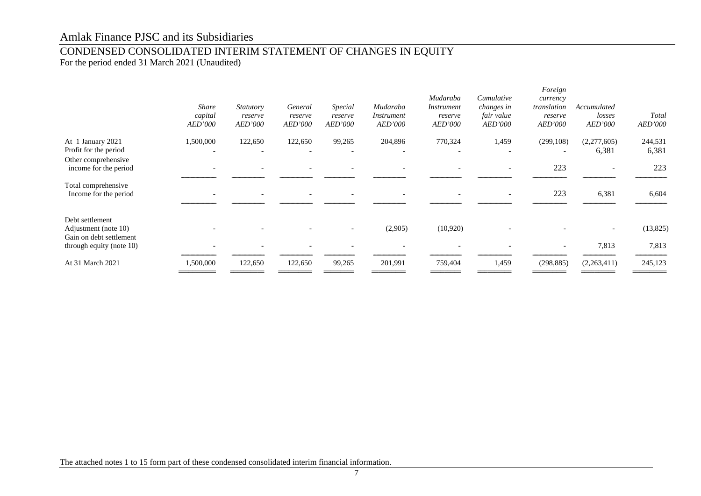## CONDENSED CONSOLIDATED INTERIM STATEMENT OF CHANGES IN EQUITY

For the period ended 31 March 2021 (Unaudited)

|                                                                    | <b>Share</b><br>capital<br><b>AED'000</b> | Statutory<br>reserve<br>AED'000 | General<br>reserve<br><b>AED'000</b> | Special<br>reserve<br><b>AED'000</b> | Mudaraba<br><i>Instrument</i><br><b>AED'000</b> | Mudaraba<br>Instrument<br>reserve<br>AED'000 | Cumulative<br>changes in<br>fair value<br><i>AED'000</i> | Foreign<br>currency<br>translation<br>reserve<br><b>AED'000</b> | Accumulated<br>losses<br>AED'000 | Total<br>AED'000 |
|--------------------------------------------------------------------|-------------------------------------------|---------------------------------|--------------------------------------|--------------------------------------|-------------------------------------------------|----------------------------------------------|----------------------------------------------------------|-----------------------------------------------------------------|----------------------------------|------------------|
| At 1 January 2021<br>Profit for the period                         | 1,500,000                                 | 122,650                         | 122,650                              | 99,265                               | 204,896                                         | 770,324                                      | 1,459                                                    | (299, 108)                                                      | (2,277,605)<br>6,381             | 244,531<br>6,381 |
| Other comprehensive<br>income for the period                       |                                           |                                 |                                      |                                      |                                                 |                                              |                                                          | 223                                                             |                                  | 223              |
| Total comprehensive<br>Income for the period                       |                                           |                                 |                                      |                                      |                                                 |                                              |                                                          | 223                                                             | 6,381                            | 6,604            |
| Debt settlement<br>Adjustment (note 10)<br>Gain on debt settlement |                                           |                                 |                                      |                                      | (2,905)                                         | (10,920)                                     |                                                          |                                                                 |                                  | (13,825)         |
| through equity (note 10)                                           |                                           |                                 |                                      |                                      |                                                 |                                              |                                                          |                                                                 | 7,813                            | 7,813            |
| At 31 March 2021                                                   | 1,500,000                                 | 122,650                         | 122,650                              | 99,265                               | 201,991                                         | 759,404                                      | 1,459                                                    | (298, 885)                                                      | (2,263,411)                      | 245,123          |
|                                                                    |                                           |                                 |                                      |                                      |                                                 |                                              |                                                          |                                                                 |                                  |                  |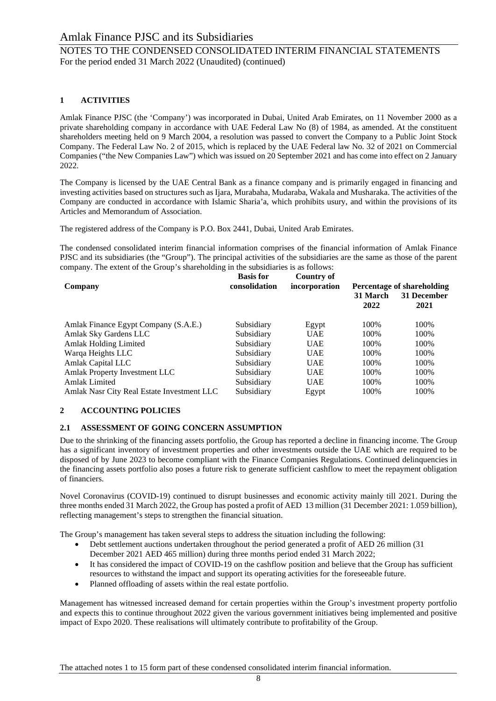## NOTES TO THE CONDENSED CONSOLIDATED INTERIM FINANCIAL STATEMENTS For the period ended 31 March 2022 (Unaudited) (continued)

## **1 ACTIVITIES**

Amlak Finance PJSC (the 'Company') was incorporated in Dubai, United Arab Emirates, on 11 November 2000 as a private shareholding company in accordance with UAE Federal Law No (8) of 1984, as amended. At the constituent shareholders meeting held on 9 March 2004, a resolution was passed to convert the Company to a Public Joint Stock Company. The Federal Law No. 2 of 2015, which is replaced by the UAE Federal law No. 32 of 2021 on Commercial Companies ("the New Companies Law") which was issued on 20 September 2021 and has come into effect on 2 January 2022.

The Company is licensed by the UAE Central Bank as a finance company and is primarily engaged in financing and investing activities based on structures such as Ijara, Murabaha, Mudaraba, Wakala and Musharaka. The activities of the Company are conducted in accordance with Islamic Sharia'a, which prohibits usury, and within the provisions of its Articles and Memorandum of Association.

The registered address of the Company is P.O. Box 2441, Dubai, United Arab Emirates.

The condensed consolidated interim financial information comprises of the financial information of Amlak Finance PJSC and its subsidiaries (the "Group"). The principal activities of the subsidiaries are the same as those of the parent company. The extent of the Group's shareholding in the subsidiaries is as follows:

| Company                                    | <b>Basis for</b><br>consolidation | <b>Country of</b><br>incorporation | 31 March<br>2022 | <b>Percentage of shareholding</b><br>31 December<br>2021 |
|--------------------------------------------|-----------------------------------|------------------------------------|------------------|----------------------------------------------------------|
| Amlak Finance Egypt Company (S.A.E.)       | Subsidiary                        | Egypt                              | 100%             | 100%                                                     |
| Amlak Sky Gardens LLC                      | Subsidiary                        | <b>UAE</b>                         | 100%             | 100%                                                     |
| Amlak Holding Limited                      | Subsidiary                        | <b>UAE</b>                         | 100%             | 100%                                                     |
| Warqa Heights LLC                          | Subsidiary                        | <b>UAE</b>                         | 100%             | 100%                                                     |
| Amlak Capital LLC                          | Subsidiary                        | <b>UAE</b>                         | 100%             | 100%                                                     |
| Amlak Property Investment LLC              | Subsidiary                        | <b>UAE</b>                         | 100%             | 100%                                                     |
| <b>Amlak Limited</b>                       | Subsidiary                        | <b>UAE</b>                         | 100%             | 100%                                                     |
| Amlak Nasr City Real Estate Investment LLC | Subsidiary                        | Egypt                              | 100%             | 100%                                                     |

## **2 ACCOUNTING POLICIES**

## **2.1 ASSESSMENT OF GOING CONCERN ASSUMPTION**

Due to the shrinking of the financing assets portfolio, the Group has reported a decline in financing income. The Group has a significant inventory of investment properties and other investments outside the UAE which are required to be disposed of by June 2023 to become compliant with the Finance Companies Regulations. Continued delinquencies in the financing assets portfolio also poses a future risk to generate sufficient cashflow to meet the repayment obligation of financiers.

Novel Coronavirus (COVID-19) continued to disrupt businesses and economic activity mainly till 2021. During the three months ended 31 March 2022, the Group has posted a profit of AED 13 million (31 December 2021: 1.059 billion), reflecting management's steps to strengthen the financial situation.

The Group's management has taken several steps to address the situation including the following:

- Debt settlement auctions undertaken throughout the period generated a profit of AED 26 million (31) December 2021 AED 465 million) during three months period ended 31 March 2022;
- It has considered the impact of COVID-19 on the cashflow position and believe that the Group has sufficient resources to withstand the impact and support its operating activities for the foreseeable future.
- Planned offloading of assets within the real estate portfolio.

Management has witnessed increased demand for certain properties within the Group's investment property portfolio and expects this to continue throughout 2022 given the various government initiatives being implemented and positive impact of Expo 2020. These realisations will ultimately contribute to profitability of the Group.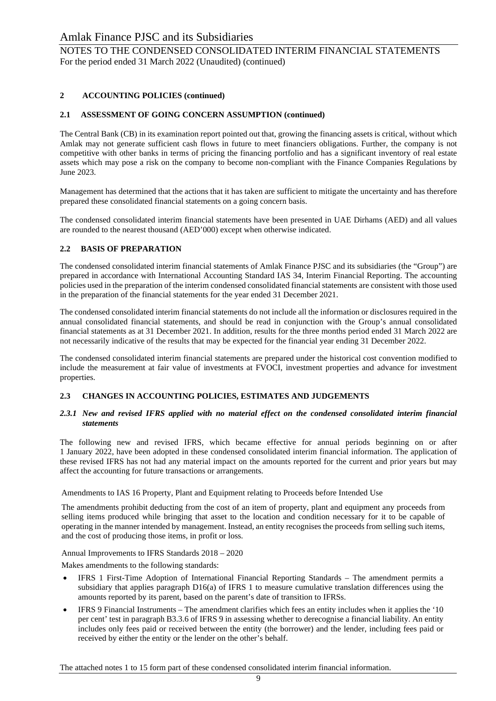NOTES TO THE CONDENSED CONSOLIDATED INTERIM FINANCIAL STATEMENTS For the period ended 31 March 2022 (Unaudited) (continued)

## **2 ACCOUNTING POLICIES (continued)**

## **2.1 ASSESSMENT OF GOING CONCERN ASSUMPTION (continued)**

The Central Bank (CB) in its examination report pointed out that, growing the financing assets is critical, without which Amlak may not generate sufficient cash flows in future to meet financiers obligations. Further, the company is not competitive with other banks in terms of pricing the financing portfolio and has a significant inventory of real estate assets which may pose a risk on the company to become non-compliant with the Finance Companies Regulations by June 2023.

Management has determined that the actions that it has taken are sufficient to mitigate the uncertainty and has therefore prepared these consolidated financial statements on a going concern basis.

The condensed consolidated interim financial statements have been presented in UAE Dirhams (AED) and all values are rounded to the nearest thousand (AED'000) except when otherwise indicated.

## **2.2 BASIS OF PREPARATION**

The condensed consolidated interim financial statements of Amlak Finance PJSC and its subsidiaries (the "Group") are prepared in accordance with International Accounting Standard IAS 34, Interim Financial Reporting. The accounting policies used in the preparation of the interim condensed consolidated financial statements are consistent with those used in the preparation of the financial statements for the year ended 31 December 2021.

The condensed consolidated interim financial statements do not include all the information or disclosures required in the annual consolidated financial statements, and should be read in conjunction with the Group's annual consolidated financial statements as at 31 December 2021. In addition, results for the three months period ended 31 March 2022 are not necessarily indicative of the results that may be expected for the financial year ending 31 December 2022.

The condensed consolidated interim financial statements are prepared under the historical cost convention modified to include the measurement at fair value of investments at FVOCI, investment properties and advance for investment properties.

## **2.3 CHANGES IN ACCOUNTING POLICIES, ESTIMATES AND JUDGEMENTS**

#### *2.3.1 New and revised IFRS applied with no material effect on the condensed consolidated interim financial statements*

The following new and revised IFRS, which became effective for annual periods beginning on or after 1 January 2022, have been adopted in these condensed consolidated interim financial information. The application of these revised IFRS has not had any material impact on the amounts reported for the current and prior years but may affect the accounting for future transactions or arrangements.

Amendments to IAS 16 Property, Plant and Equipment relating to Proceeds before Intended Use

The amendments prohibit deducting from the cost of an item of property, plant and equipment any proceeds from selling items produced while bringing that asset to the location and condition necessary for it to be capable of operating in the manner intended by management. Instead, an entity recognises the proceeds from selling such items, and the cost of producing those items, in profit or loss.

Annual Improvements to IFRS Standards 2018 – 2020

Makes amendments to the following standards:

- IFRS 1 First-Time Adoption of International Financial Reporting Standards The amendment permits a subsidiary that applies paragraph  $D16(a)$  of IFRS 1 to measure cumulative translation differences using the amounts reported by its parent, based on the parent's date of transition to IFRSs.
- IFRS 9 Financial Instruments The amendment clarifies which fees an entity includes when it applies the '10 per cent' test in paragraph B3.3.6 of IFRS 9 in assessing whether to derecognise a financial liability. An entity includes only fees paid or received between the entity (the borrower) and the lender, including fees paid or received by either the entity or the lender on the other's behalf.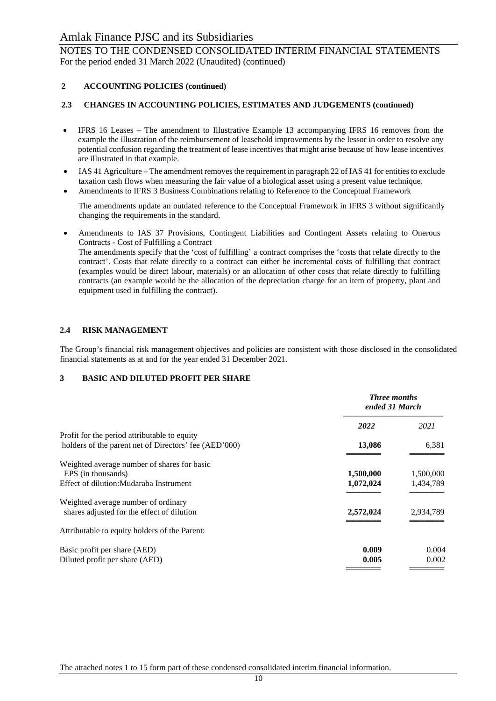NOTES TO THE CONDENSED CONSOLIDATED INTERIM FINANCIAL STATEMENTS For the period ended 31 March 2022 (Unaudited) (continued)

## **2 ACCOUNTING POLICIES (continued)**

## **2.3 CHANGES IN ACCOUNTING POLICIES, ESTIMATES AND JUDGEMENTS (continued)**

- IFRS 16 Leases The amendment to Illustrative Example 13 accompanying IFRS 16 removes from the example the illustration of the reimbursement of leasehold improvements by the lessor in order to resolve any potential confusion regarding the treatment of lease incentives that might arise because of how lease incentives are illustrated in that example.
- IAS 41 Agriculture The amendment removes the requirement in paragraph 22 of IAS 41 for entities to exclude taxation cash flows when measuring the fair value of a biological asset using a present value technique.
- Amendments to IFRS 3 Business Combinations relating to Reference to the Conceptual Framework

The amendments update an outdated reference to the Conceptual Framework in IFRS 3 without significantly changing the requirements in the standard.

• Amendments to IAS 37 Provisions, Contingent Liabilities and Contingent Assets relating to Onerous Contracts - Cost of Fulfilling a Contract The amendments specify that the 'cost of fulfilling' a contract comprises the 'costs that relate directly to the contract'. Costs that relate directly to a contract can either be incremental costs of fulfilling that contract (examples would be direct labour, materials) or an allocation of other costs that relate directly to fulfilling contracts (an example would be the allocation of the depreciation charge for an item of property, plant and equipment used in fulfilling the contract).

## **2.4 RISK MANAGEMENT**

The Group's financial risk management objectives and policies are consistent with those disclosed in the consolidated financial statements as at and for the year ended 31 December 2021.

## **3 BASIC AND DILUTED PROFIT PER SHARE**

|                                                       | <b>Three months</b><br>ended 31 March |           |
|-------------------------------------------------------|---------------------------------------|-----------|
|                                                       | 2022                                  | 2021      |
| Profit for the period attributable to equity          |                                       |           |
| holders of the parent net of Directors' fee (AED'000) | 13,086                                | 6,381     |
| Weighted average number of shares for basic           |                                       |           |
| EPS (in thousands)                                    | 1,500,000                             | 1,500,000 |
| Effect of dilution: Mudaraba Instrument               | 1,072,024                             | 1,434,789 |
| Weighted average number of ordinary                   |                                       |           |
| shares adjusted for the effect of dilution            | 2,572,024                             | 2,934,789 |
| Attributable to equity holders of the Parent:         |                                       |           |
| Basic profit per share (AED)                          | 0.009                                 | 0.004     |
| Diluted profit per share (AED)                        | 0.005                                 | 0.002     |
|                                                       |                                       |           |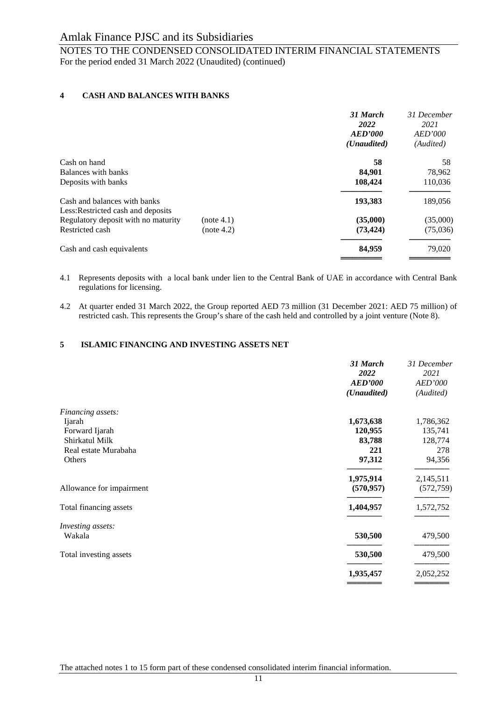## NOTES TO THE CONDENSED CONSOLIDATED INTERIM FINANCIAL STATEMENTS For the period ended 31 March 2022 (Unaudited) (continued)

## **4 CASH AND BALANCES WITH BANKS**

|                                     |            | 31 March             | 31 December    |
|-------------------------------------|------------|----------------------|----------------|
|                                     |            | 2022                 | 2021           |
|                                     |            | <b>AED'000</b>       | <b>AED'000</b> |
|                                     |            | ( <i>Unaudited</i> ) | (Audited)      |
| Cash on hand                        |            | 58                   | 58             |
| Balances with banks                 |            | 84,901               | 78,962         |
| Deposits with banks                 |            | 108,424              | 110,036        |
| Cash and balances with banks        |            | 193,383              | 189,056        |
| Less: Restricted cash and deposits  |            |                      |                |
| Regulatory deposit with no maturity | (note 4.1) | (35,000)             | (35,000)       |
| Restricted cash                     | (note 4.2) | (73, 424)            | (75,036)       |
| Cash and cash equivalents           |            | 84,959               | 79,020         |
|                                     |            |                      |                |

#### 4.1 Represents deposits with a local bank under lien to the Central Bank of UAE in accordance with Central Bank regulations for licensing.

4.2 At quarter ended 31 March 2022, the Group reported AED 73 million (31 December 2021: AED 75 million) of restricted cash. This represents the Group's share of the cash held and controlled by a joint venture (Note 8).

## **5 ISLAMIC FINANCING AND INVESTING ASSETS NET**

|                          | 31 March<br>2022<br><b>AED'000</b><br>(Unaudited) | 31 December<br>2021<br><b>AED'000</b><br>(Audited) |
|--------------------------|---------------------------------------------------|----------------------------------------------------|
| Financing assets:        |                                                   |                                                    |
| Ijarah                   | 1,673,638                                         | 1,786,362                                          |
| Forward Ijarah           | 120,955                                           | 135,741                                            |
| Shirkatul Milk           | 83,788                                            | 128,774                                            |
| Real estate Murabaha     | 221                                               | 278                                                |
| Others                   | 97,312                                            | 94,356                                             |
|                          | 1,975,914                                         | 2,145,511                                          |
| Allowance for impairment | (570, 957)                                        | (572, 759)                                         |
| Total financing assets   | 1,404,957                                         | 1,572,752                                          |
| Investing assets:        |                                                   |                                                    |
| Wakala                   | 530,500                                           | 479,500                                            |
| Total investing assets   | 530,500                                           | 479,500                                            |
|                          | 1,935,457                                         | 2,052,252                                          |
|                          |                                                   |                                                    |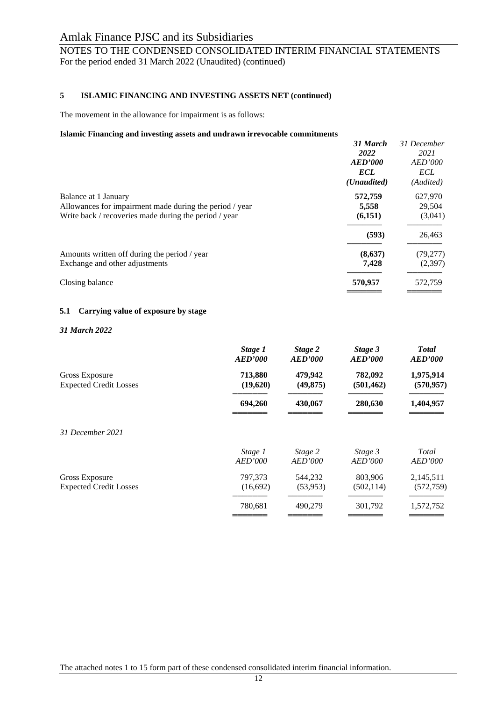## NOTES TO THE CONDENSED CONSOLIDATED INTERIM FINANCIAL STATEMENTS For the period ended 31 March 2022 (Unaudited) (continued)

#### **5 ISLAMIC FINANCING AND INVESTING ASSETS NET (continued)**

The movement in the allowance for impairment is as follows:

#### **Islamic Financing and investing assets and undrawn irrevocable commitments**

|                                                         | 31 March             | 31 December            |
|---------------------------------------------------------|----------------------|------------------------|
|                                                         | 2022<br>AED'000      | 2021<br><b>AED'000</b> |
|                                                         | <b>ECL</b>           | <b>ECL</b>             |
|                                                         | ( <i>Unaudited</i> ) | (Audited)              |
| Balance at 1 January                                    | 572,759              | 627,970                |
| Allowances for impairment made during the period / year | 5,558                | 29,504                 |
| Write back / recoveries made during the period / year   | (6,151)              | (3,041)                |
|                                                         | (593)                | 26,463                 |
| Amounts written off during the period / year            | (8,637)              | (79,277)               |
| Exchange and other adjustments                          | 7,428                | (2,397)                |
| Closing balance                                         | 570,957              | 572,759                |
|                                                         |                      |                        |

#### **5.1 Carrying value of exposure by stage**

#### *31 March 2022*

|                               | Stage 1        | Stage 2        | Stage 3        | <b>Total</b>   |
|-------------------------------|----------------|----------------|----------------|----------------|
|                               | <b>AED'000</b> | <b>AED'000</b> | AED'000        | <b>AED'000</b> |
| Gross Exposure                | 713,880        | 479,942        | 782,092        | 1,975,914      |
| <b>Expected Credit Losses</b> | (19,620)       | (49, 875)      | (501, 462)     | (570, 957)     |
|                               | 694,260        | 430,067        | 280,630        | 1,404,957      |
| 31 December 2021              |                |                |                |                |
|                               | Stage 1        | Stage 2        | Stage 3        | Total          |
|                               | AED'000        | AED'000        | <b>AED'000</b> | <b>AED'000</b> |
| Gross Exposure                | 797,373        | 544,232        | 803,906        | 2,145,511      |
| <b>Expected Credit Losses</b> | (16,692)       | (53, 953)      | (502, 114)     | (572, 759)     |
|                               | 780,681        | 490,279        | 301,792        | 1,572,752      |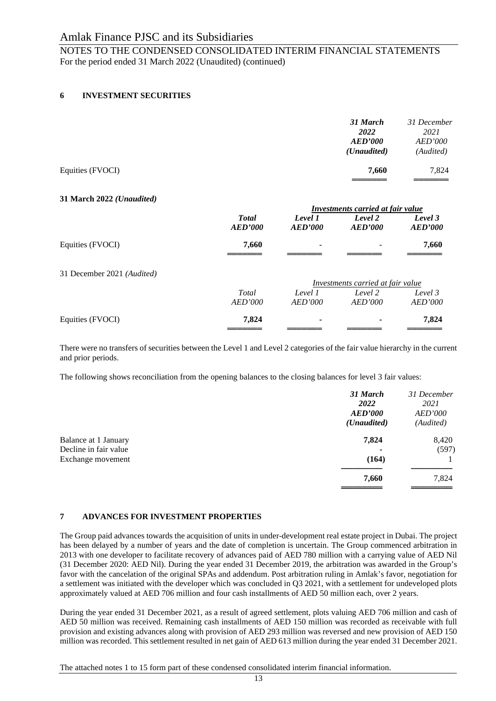NOTES TO THE CONDENSED CONSOLIDATED INTERIM FINANCIAL STATEMENTS For the period ended 31 March 2022 (Unaudited) (continued)

## **6 INVESTMENT SECURITIES**

|                  | 31 March<br>2022<br><b>AED'000</b><br>( <i>Unaudited</i> ) | 31 December<br>2021<br><b>AED'000</b><br>(Audited) |
|------------------|------------------------------------------------------------|----------------------------------------------------|
| Equities (FVOCI) | 7,660                                                      | 7.824                                              |

#### **31 March 2022** *(Unaudited)*

|                            |                | <b>Investments carried at fair value</b> |                                   |                |  |
|----------------------------|----------------|------------------------------------------|-----------------------------------|----------------|--|
|                            | <b>Total</b>   | Level 1                                  | Level 2                           | Level 3        |  |
|                            | <b>AED'000</b> | AED'000                                  | AED'000                           | <b>AED'000</b> |  |
| Equities (FVOCI)           | 7,660          | -                                        |                                   | 7,660          |  |
|                            |                |                                          |                                   |                |  |
| 31 December 2021 (Audited) |                |                                          |                                   |                |  |
|                            |                |                                          | Investments carried at fair value |                |  |
|                            | Total          | Level 1                                  | Level 2                           | Level 3        |  |
|                            | AED'000        | AED'000                                  | AED'000                           | <i>AED'000</i> |  |
| Equities (FVOCI)           | 7,824          | ۰                                        |                                   | 7,824          |  |
|                            |                |                                          |                                   |                |  |

There were no transfers of securities between the Level 1 and Level 2 categories of the fair value hierarchy in the current and prior periods.

The following shows reconciliation from the opening balances to the closing balances for level 3 fair values:

|                                               | 31 March<br><b>2022</b><br>AED'000<br>( <i>Unaudited</i> ) | 31 December<br>2021<br><b>AED'000</b><br>(Audited) |
|-----------------------------------------------|------------------------------------------------------------|----------------------------------------------------|
| Balance at 1 January<br>Decline in fair value | 7,824                                                      | 8,420<br>(597)                                     |
| Exchange movement                             | (164)                                                      |                                                    |
|                                               | 7,660                                                      | 7,824                                              |

## **7 ADVANCES FOR INVESTMENT PROPERTIES**

The Group paid advances towards the acquisition of units in under-development real estate project in Dubai. The project has been delayed by a number of years and the date of completion is uncertain. The Group commenced arbitration in 2013 with one developer to facilitate recovery of advances paid of AED 780 million with a carrying value of AED Nil (31 December 2020: AED Nil). During the year ended 31 December 2019, the arbitration was awarded in the Group's favor with the cancelation of the original SPAs and addendum. Post arbitration ruling in Amlak's favor, negotiation for a settlement was initiated with the developer which was concluded in Q3 2021, with a settlement for undeveloped plots approximately valued at AED 706 million and four cash installments of AED 50 million each, over 2 years.

During the year ended 31 December 2021, as a result of agreed settlement, plots valuing AED 706 million and cash of AED 50 million was received. Remaining cash installments of AED 150 million was recorded as receivable with full provision and existing advances along with provision of AED 293 million was reversed and new provision of AED 150 million was recorded. This settlement resulted in net gain of AED 613 million during the year ended 31 December 2021.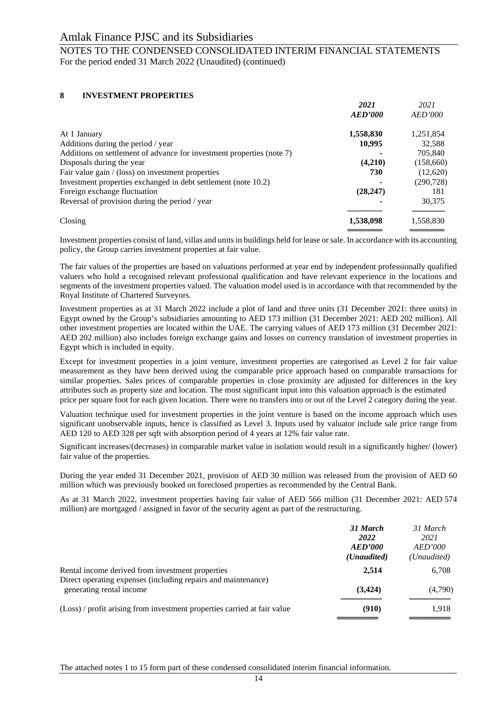## NOTES TO THE CONDENSED CONSOLIDATED INTERIM FINANCIAL STATEMENTS For the period ended 31 March 2022 (Unaudited) (continued)

## **8 INVESTMENT PROPERTIES**

|                                                                       | 2021           | 2021           |
|-----------------------------------------------------------------------|----------------|----------------|
|                                                                       | <b>AED'000</b> | <b>AED'000</b> |
| At 1 January                                                          | 1,558,830      | 1,251,854      |
| Additions during the period / year                                    | 10,995         | 32,588         |
| Additions on settlement of advance for investment properties (note 7) |                | 705,840        |
| Disposals during the year                                             | (4,210)        | (158,660)      |
| Fair value gain $/(loss)$ on investment properties                    | 730            | (12,620)       |
| Investment properties exchanged in debt settlement (note 10.2)        |                | (290, 728)     |
| Foreign exchange fluctuation                                          | (28, 247)      | 181            |
| Reversal of provision during the period / year                        |                | 30,375         |
| Closing                                                               | 1,538,098      | 1,558,830      |
|                                                                       |                |                |

Investment properties consist of land, villas and units in buildings held for lease or sale. In accordance with its accounting policy, the Group carries investment properties at fair value.

The fair values of the properties are based on valuations performed at year end by independent professionally qualified valuers who hold a recognised relevant professional qualification and have relevant experience in the locations and segments of the investment properties valued. The valuation model used is in accordance with that recommended by the Royal Institute of Chartered Surveyors.

Investment properties as at 31 March 2022 include a plot of land and three units (31 December 2021: three units) in Egypt owned by the Group's subsidiaries amounting to AED 173 million (31 December 2021: AED 202 million). All other investment properties are located within the UAE. The carrying values of AED 173 million (31 December 2021: AED 202 million) also includes foreign exchange gains and losses on currency translation of investment properties in Egypt which is included in equity.

Except for investment properties in a joint venture, investment properties are categorised as Level 2 for fair value measurement as they have been derived using the comparable price approach based on comparable transactions for similar properties. Sales prices of comparable properties in close proximity are adjusted for differences in the key attributes such as property size and location. The most significant input into this valuation approach is the estimated price per square foot for each given location. There were no transfers into or out of the Level 2 category during the year.

Valuation technique used for investment properties in the joint venture is based on the income approach which uses significant unobservable inputs, hence is classified as Level 3. Inputs used by valuator include sale price range from AED 120 to AED 328 per sqft with absorption period of 4 years at 12% fair value rate.

Significant increases/(decreases) in comparable market value in isolation would result in a significantly higher/ (lower) fair value of the properties.

During the year ended 31 December 2021, provision of AED 30 million was released from the provision of AED 60 million which was previously booked on foreclosed properties as recommended by the Central Bank.

As at 31 March 2022, investment properties having fair value of AED 566 million (31 December 2021: AED 574 million) are mortgaged / assigned in favor of the security agent as part of the restructuring.

|                                                                                           | 31 March<br>2022<br>AED'000<br>( <i>Unaudited</i> ) | 31 March<br>2021<br><i>AED'000</i><br>( <i>Unaudited</i> ) |
|-------------------------------------------------------------------------------------------|-----------------------------------------------------|------------------------------------------------------------|
| Rental income derived from investment properties                                          | 2,514                                               | 6,708                                                      |
| Direct operating expenses (including repairs and maintenance)<br>generating rental income | (3,424)                                             | (4,790)                                                    |
| (Loss) / profit arising from investment properties carried at fair value                  | (910)                                               | 1.918                                                      |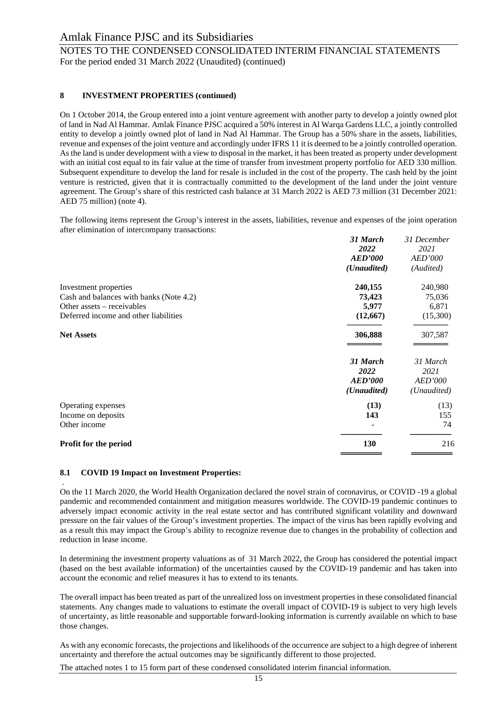## NOTES TO THE CONDENSED CONSOLIDATED INTERIM FINANCIAL STATEMENTS For the period ended 31 March 2022 (Unaudited) (continued)

## **8 INVESTMENT PROPERTIES (continued)**

On 1 October 2014, the Group entered into a joint venture agreement with another party to develop a jointly owned plot of land in Nad Al Hammar. Amlak Finance PJSC acquired a 50% interest in Al Warqa Gardens LLC, a jointly controlled entity to develop a jointly owned plot of land in Nad Al Hammar. The Group has a 50% share in the assets, liabilities, revenue and expenses of the joint venture and accordingly under IFRS 11 it is deemed to be a jointly controlled operation. As the land is under development with a view to disposal in the market, it has been treated as property under development with an initial cost equal to its fair value at the time of transfer from investment property portfolio for AED 330 million. Subsequent expenditure to develop the land for resale is included in the cost of the property. The cash held by the joint venture is restricted, given that it is contractually committed to the development of the land under the joint venture agreement. The Group's share of this restricted cash balance at 31 March 2022 is AED 73 million (31 December 2021: AED 75 million) (note 4).

The following items represent the Group's interest in the assets, liabilities, revenue and expenses of the joint operation after elimination of intercompany transactions:

|                                         | 31 March             | 31 December    |
|-----------------------------------------|----------------------|----------------|
|                                         | 2022                 | 2021           |
|                                         | <b>AED'000</b>       | <b>AED'000</b> |
|                                         | (Unaudited)          | (Audited)      |
| Investment properties                   | 240,155              | 240,980        |
| Cash and balances with banks (Note 4.2) | 73,423               | 75,036         |
| Other assets – receivables              | 5,977                | 6,871          |
| Deferred income and other liabilities   | (12, 667)            | (15,300)       |
| <b>Net Assets</b>                       | 306,888              | 307,587        |
|                                         | 31 March             | 31 March       |
|                                         | 2022                 | 2021           |
|                                         | <b>AED'000</b>       | <b>AED'000</b> |
|                                         | ( <i>Unaudited</i> ) | (Unaudited)    |
| Operating expenses                      | (13)                 | (13)           |
| Income on deposits                      | 143                  | 155            |
| Other income                            |                      | 74             |
| Profit for the period                   | <b>130</b>           | 216            |
|                                         |                      |                |

## **8.1 COVID 19 Impact on Investment Properties:**

. On the 11 March 2020, the World Health Organization declared the novel strain of coronavirus, or COVID -19 a global pandemic and recommended containment and mitigation measures worldwide. The COVID-19 pandemic continues to adversely impact economic activity in the real estate sector and has contributed significant volatility and downward pressure on the fair values of the Group's investment properties. The impact of the virus has been rapidly evolving and as a result this may impact the Group's ability to recognize revenue due to changes in the probability of collection and reduction in lease income.

In determining the investment property valuations as of 31 March 2022, the Group has considered the potential impact (based on the best available information) of the uncertainties caused by the COVID-19 pandemic and has taken into account the economic and relief measures it has to extend to its tenants.

The overall impact has been treated as part of the unrealized loss on investment properties in these consolidated financial statements. Any changes made to valuations to estimate the overall impact of COVID-19 is subject to very high levels of uncertainty, as little reasonable and supportable forward-looking information is currently available on which to base those changes.

As with any economic forecasts, the projections and likelihoods of the occurrence are subject to a high degree of inherent uncertainty and therefore the actual outcomes may be significantly different to those projected.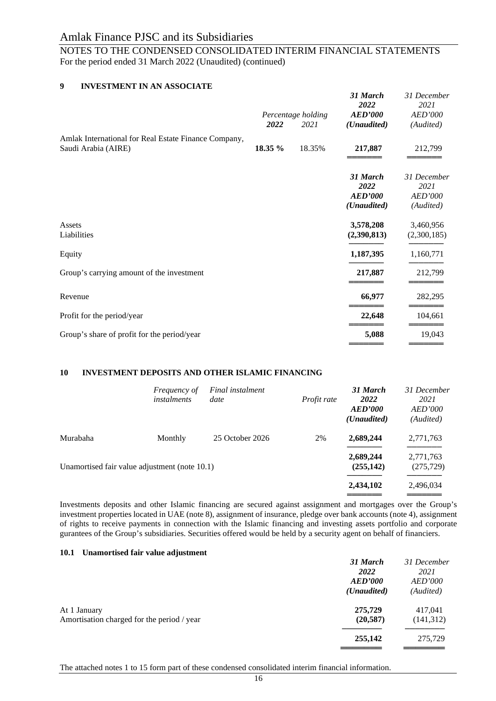NOTES TO THE CONDENSED CONSOLIDATED INTERIM FINANCIAL STATEMENTS For the period ended 31 March 2022 (Unaudited) (continued)

## **9 INVESTMENT IN AN ASSOCIATE**

|         |        | 31 March<br>2022                   | 31 December<br>2021                         |
|---------|--------|------------------------------------|---------------------------------------------|
| 2022    | 2021   | ( <i>Unaudited</i> )               | <b>AED'000</b><br>(Audited)                 |
| 18.35 % | 18.35% | 217,887                            | 212,799                                     |
|         |        | 31 March<br>2022<br><b>AED'000</b> | 31 December<br>2021<br>AED'000<br>(Audited) |
|         |        | 3,578,208<br>(2,390,813)           | 3,460,956<br>(2,300,185)                    |
|         |        | 1,187,395                          | 1,160,771                                   |
|         |        | 217,887                            | 212,799                                     |
|         |        | 66,977                             | 282,295                                     |
|         |        | 22,648                             | 104,661                                     |
|         |        | 5,088                              | 19,043                                      |
|         |        | Percentage holding                 | <b>AED'000</b><br>( <i>Unaudited</i> )      |

## **10 INVESTMENT DEPOSITS AND OTHER ISLAMIC FINANCING**

| <i>Frequency of</i><br><i>instalments</i> | Final instalment<br>date | Profit rate                                   | 31 March<br><b>2022</b><br>AED'000<br>( <i>Unaudited</i> ) | 31 December<br>2021<br><b>AED'000</b><br>(Audited) |
|-------------------------------------------|--------------------------|-----------------------------------------------|------------------------------------------------------------|----------------------------------------------------|
| Monthly                                   | 25 October 2026          | 2%                                            | 2,689,244                                                  | 2,771,763                                          |
|                                           |                          |                                               | 2,689,244<br>(255, 142)                                    | 2,771,763<br>(275, 729)                            |
|                                           |                          |                                               | 2,434,102                                                  | 2,496,034                                          |
|                                           |                          | Unamortised fair value adjustment (note 10.1) |                                                            |                                                    |

Investments deposits and other Islamic financing are secured against assignment and mortgages over the Group's investment properties located in UAE (note 8), assignment of insurance, pledge over bank accounts (note 4), assignment of rights to receive payments in connection with the Islamic financing and investing assets portfolio and corporate gurantees of the Group's subsidiaries. Securities offered would be held by a security agent on behalf of financiers.

#### **10.1 Unamortised fair value adjustment**

|                                            | 31 March             | 31 December    |
|--------------------------------------------|----------------------|----------------|
|                                            | <b>2022</b>          | 2021           |
|                                            | AED'000              | <i>AED'000</i> |
|                                            | ( <i>Unaudited</i> ) | (Audited)      |
| At 1 January                               | 275,729              | 417,041        |
| Amortisation charged for the period / year | (20, 587)            | (141,312)      |
|                                            | 255,142              | 275,729        |
|                                            |                      |                |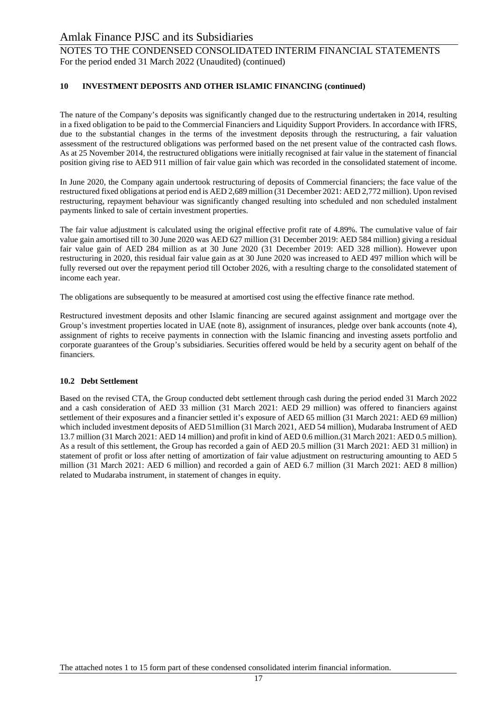NOTES TO THE CONDENSED CONSOLIDATED INTERIM FINANCIAL STATEMENTS For the period ended 31 March 2022 (Unaudited) (continued)

## **10 INVESTMENT DEPOSITS AND OTHER ISLAMIC FINANCING (continued)**

The nature of the Company's deposits was significantly changed due to the restructuring undertaken in 2014, resulting in a fixed obligation to be paid to the Commercial Financiers and Liquidity Support Providers. In accordance with IFRS, due to the substantial changes in the terms of the investment deposits through the restructuring, a fair valuation assessment of the restructured obligations was performed based on the net present value of the contracted cash flows. As at 25 November 2014, the restructured obligations were initially recognised at fair value in the statement of financial position giving rise to AED 911 million of fair value gain which was recorded in the consolidated statement of income.

In June 2020, the Company again undertook restructuring of deposits of Commercial financiers; the face value of the restructured fixed obligations at period end is AED 2,689 million (31 December 2021: AED 2,772 million). Upon revised restructuring, repayment behaviour was significantly changed resulting into scheduled and non scheduled instalment payments linked to sale of certain investment properties.

The fair value adjustment is calculated using the original effective profit rate of 4.89%. The cumulative value of fair value gain amortised till to 30 June 2020 was AED 627 million (31 December 2019: AED 584 million) giving a residual fair value gain of AED 284 million as at 30 June 2020 (31 December 2019: AED 328 million). However upon restructuring in 2020, this residual fair value gain as at 30 June 2020 was increased to AED 497 million which will be fully reversed out over the repayment period till October 2026, with a resulting charge to the consolidated statement of income each year.

The obligations are subsequently to be measured at amortised cost using the effective finance rate method.

Restructured investment deposits and other Islamic financing are secured against assignment and mortgage over the Group's investment properties located in UAE (note 8), assignment of insurances, pledge over bank accounts (note 4), assignment of rights to receive payments in connection with the Islamic financing and investing assets portfolio and corporate guarantees of the Group's subsidiaries. Securities offered would be held by a security agent on behalf of the financiers.

## **10.2 Debt Settlement**

Based on the revised CTA, the Group conducted debt settlement through cash during the period ended 31 March 2022 and a cash consideration of AED 33 million (31 March 2021: AED 29 million) was offered to financiers against settlement of their exposures and a financier settled it's exposure of AED 65 million (31 March 2021: AED 69 million) which included investment deposits of AED 51million (31 March 2021, AED 54 million), Mudaraba Instrument of AED 13.7 million (31 March 2021: AED 14 million) and profit in kind of AED 0.6 million.(31 March 2021: AED 0.5 million). As a result of this settlement, the Group has recorded a gain of AED 20.5 million (31 March 2021: AED 31 million) in statement of profit or loss after netting of amortization of fair value adjustment on restructuring amounting to AED 5 million (31 March 2021: AED 6 million) and recorded a gain of AED 6.7 million (31 March 2021: AED 8 million) related to Mudaraba instrument, in statement of changes in equity.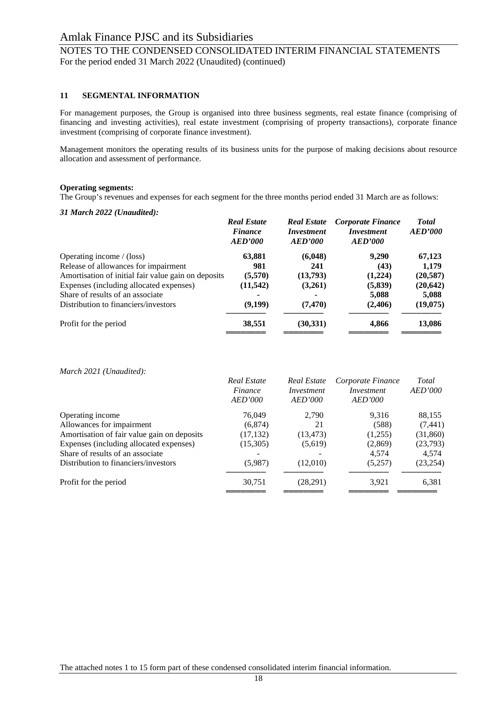## NOTES TO THE CONDENSED CONSOLIDATED INTERIM FINANCIAL STATEMENTS For the period ended 31 March 2022 (Unaudited) (continued)

#### **11 SEGMENTAL INFORMATION**

For management purposes, the Group is organised into three business segments, real estate finance (comprising of financing and investing activities), real estate investment (comprising of property transactions), corporate finance investment (comprising of corporate finance investment).

Management monitors the operating results of its business units for the purpose of making decisions about resource allocation and assessment of performance.

#### **Operating segments:**

The Group's revenues and expenses for each segment for the three months period ended 31 March are as follows:

#### *31 March 2022 (Unaudited):*

|                                                     | <b>Real Estate</b><br><b>Finance</b><br>AED'000 | <b>Real Estate</b><br><i>Investment</i><br>AED'000 | Corporate Finance<br><i>Investment</i><br><b>AED'000</b> | <b>Total</b><br><b>AED'000</b> |
|-----------------------------------------------------|-------------------------------------------------|----------------------------------------------------|----------------------------------------------------------|--------------------------------|
| Operating income $/$ (loss)                         | 63,881                                          | (6,048)                                            | 9,290                                                    | 67,123                         |
| Release of allowances for impairment                | 981                                             | 241                                                | (43)                                                     | 1,179                          |
| Amortisation of initial fair value gain on deposits | (5,570)                                         | (13,793)                                           | (1,224)                                                  | (20, 587)                      |
| Expenses (including allocated expenses)             | (11, 542)                                       | (3,261)                                            | (5,839)                                                  | (20, 642)                      |
| Share of results of an associate                    | ۰                                               |                                                    | 5,088                                                    | 5,088                          |
| Distribution to financiers/investors                | (9,199)                                         | (7, 470)                                           | (2,406)                                                  | (19,075)                       |
| Profit for the period                               | 38,551                                          | (30,331)                                           | 4,866                                                    | 13,086                         |

*March 2021 (Unaudited):*

|                                             | Real Estate<br>Finance<br>AED'000 | Real Estate<br><i>Investment</i><br>AED'000 | Corporate Finance<br><i>Investment</i><br>AED'000 | Total<br>AED'000 |
|---------------------------------------------|-----------------------------------|---------------------------------------------|---------------------------------------------------|------------------|
| Operating income                            | 76,049                            | 2,790                                       | 9,316                                             | 88,155           |
| Allowances for impairment                   | (6,874)                           | 21                                          | (588)                                             | (7, 441)         |
| Amortisation of fair value gain on deposits | (17, 132)                         | (13, 473)                                   | (1,255)                                           | (31,860)         |
| Expenses (including allocated expenses)     | (15,305)                          | (5,619)                                     | (2,869)                                           | (23,793)         |
| Share of results of an associate            |                                   |                                             | 4,574                                             | 4,574            |
| Distribution to financiers/investors        | (5,987)                           | (12,010)                                    | (5,257)                                           | (23, 254)        |
| Profit for the period                       | 30,751                            | (28,291)                                    | 3,921                                             | 6,381            |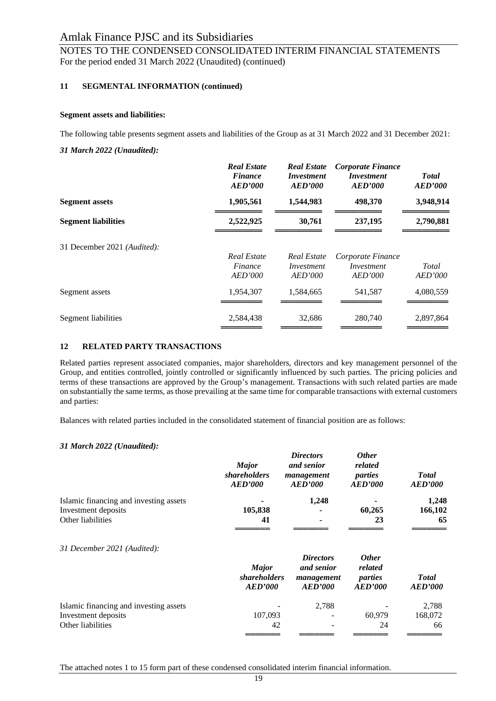## NOTES TO THE CONDENSED CONSOLIDATED INTERIM FINANCIAL STATEMENTS For the period ended 31 March 2022 (Unaudited) (continued)

## **11 SEGMENTAL INFORMATION (continued)**

## **Segment assets and liabilities:**

The following table presents segment assets and liabilities of the Group as at 31 March 2022 and 31 December 2021:

*31 March 2022 (Unaudited):*

|                             | <b>Real Estate</b><br><b>Finance</b><br>AED'000 | <b>Real Estate</b><br><i>Investment</i><br>AED'000 | Corporate Finance<br><i>Investment</i><br><b>AED'000</b> | <b>Total</b><br><b>AED'000</b> |
|-----------------------------|-------------------------------------------------|----------------------------------------------------|----------------------------------------------------------|--------------------------------|
| <b>Segment assets</b>       | 1,905,561                                       | 1,544,983                                          | 498,370                                                  | 3,948,914                      |
| <b>Segment liabilities</b>  | 2,522,925                                       | 30,761                                             | 237,195                                                  | 2,790,881                      |
| 31 December 2021 (Audited): | Real Estate<br>Finance<br>AED'000               | Real Estate<br>Investment<br>AED'000               | Corporate Finance<br>Investment<br>AED'000               | Total<br><b>AED'000</b>        |
| Segment assets              | 1,954,307                                       | 1,584,665                                          | 541,587                                                  | 4,080,559                      |
| Segment liabilities         | 2,584,438                                       | 32,686                                             | 280,740                                                  | 2,897,864                      |

## **12 RELATED PARTY TRANSACTIONS**

Related parties represent associated companies, major shareholders, directors and key management personnel of the Group, and entities controlled, jointly controlled or significantly influenced by such parties. The pricing policies and terms of these transactions are approved by the Group's management. Transactions with such related parties are made on substantially the same terms, as those prevailing at the same time for comparable transactions with external customers and parties:

Balances with related parties included in the consolidated statement of financial position are as follows:

## *31 March 2022 (Unaudited):*

| <b>Major</b><br><i>shareholders</i><br>AED'000 | <b>Directors</b><br>and senior<br><b>AED'000</b>        | <b>Other</b><br>related<br>parties<br><b>AED'000</b> | <b>Total</b><br><b>AED'000</b> |  |
|------------------------------------------------|---------------------------------------------------------|------------------------------------------------------|--------------------------------|--|
|                                                | 1,248                                                   |                                                      | 1,248                          |  |
| 41                                             |                                                         | 23                                                   | 166,102<br>65                  |  |
| <b>Major</b><br><b>AED'000</b>                 | <b>Directors</b><br>and senior<br>management<br>AED'000 | <b>Other</b><br>related<br>parties<br>AED'000        | <b>Total</b><br><b>AED'000</b> |  |
|                                                | 2,788                                                   |                                                      | 2,788                          |  |
| 42                                             |                                                         | 24                                                   | 168,072<br>66                  |  |
|                                                | 105,838<br>107,093                                      | management<br><i>shareholders</i>                    | 60,265<br>60,979               |  |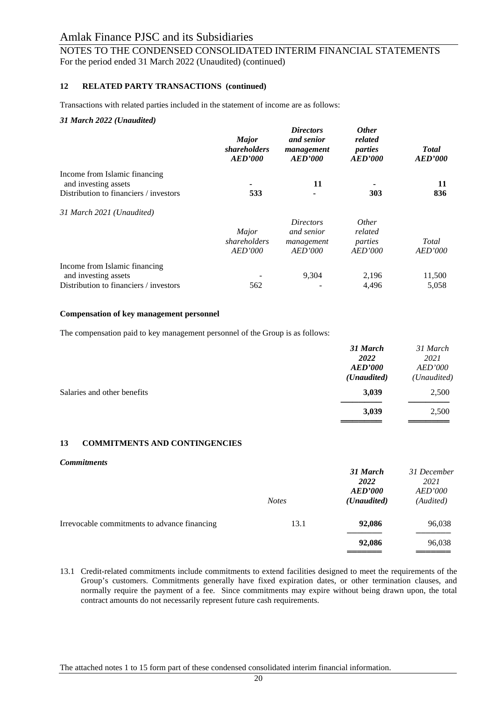NOTES TO THE CONDENSED CONSOLIDATED INTERIM FINANCIAL STATEMENTS For the period ended 31 March 2022 (Unaudited) (continued)

#### **12 RELATED PARTY TRANSACTIONS (continued)**

Transactions with related parties included in the statement of income are as follows:

#### *31 March 2022 (Unaudited)*

|                                                       | <b>Major</b><br><i>shareholders</i><br><b>AED'000</b> | <b>Directors</b><br>and senior<br>management<br><b>AED'000</b> | <i><b>Other</b></i><br>related<br>parties<br>AED'000 | <b>Total</b><br>AED'000 |  |
|-------------------------------------------------------|-------------------------------------------------------|----------------------------------------------------------------|------------------------------------------------------|-------------------------|--|
| Income from Islamic financing<br>and investing assets |                                                       | 11                                                             |                                                      | 11                      |  |
| Distribution to financiers / investors                | 533                                                   |                                                                | 303                                                  | 836                     |  |
| 31 March 2021 (Unaudited)                             |                                                       |                                                                |                                                      |                         |  |
|                                                       |                                                       | <i>Directors</i>                                               | <i>Other</i>                                         |                         |  |
|                                                       | Major                                                 | and senior                                                     | related                                              |                         |  |
|                                                       | shareholders<br>AED'000                               | management<br>AED'000                                          | parties<br>AED'000                                   | Total<br><b>AED'000</b> |  |
|                                                       |                                                       |                                                                |                                                      |                         |  |
| Income from Islamic financing                         |                                                       |                                                                |                                                      |                         |  |
| and investing assets                                  |                                                       | 9,304                                                          | 2,196                                                | 11,500                  |  |
| Distribution to financiers / investors                | 562                                                   |                                                                | 4,496                                                | 5,058                   |  |

#### **Compensation of key management personnel**

The compensation paid to key management personnel of the Group is as follows:

|                             | 31 March<br>2022                       | 31 March<br>2021              |
|-----------------------------|----------------------------------------|-------------------------------|
|                             | <b>AED'000</b><br>( <i>Unaudited</i> ) | <b>AED'000</b><br>(Unaudited) |
| Salaries and other benefits | 3,039                                  | 2,500                         |
|                             | 3,039                                  | 2,500                         |

## **13 COMMITMENTS AND CONTINGENCIES**

#### *Commitments*

|                                              | <b>Notes</b> | 31 March<br><b>2022</b><br><b>AED'000</b><br>(Unaudited) | 31 December<br>2021<br><i>AED'000</i><br>(Audited) |
|----------------------------------------------|--------------|----------------------------------------------------------|----------------------------------------------------|
| Irrevocable commitments to advance financing | 13.1         | 92,086                                                   | 96,038                                             |
|                                              |              | 92,086                                                   | 96,038                                             |

13.1 Credit-related commitments include commitments to extend facilities designed to meet the requirements of the Group's customers. Commitments generally have fixed expiration dates, or other termination clauses, and normally require the payment of a fee. Since commitments may expire without being drawn upon, the total contract amounts do not necessarily represent future cash requirements.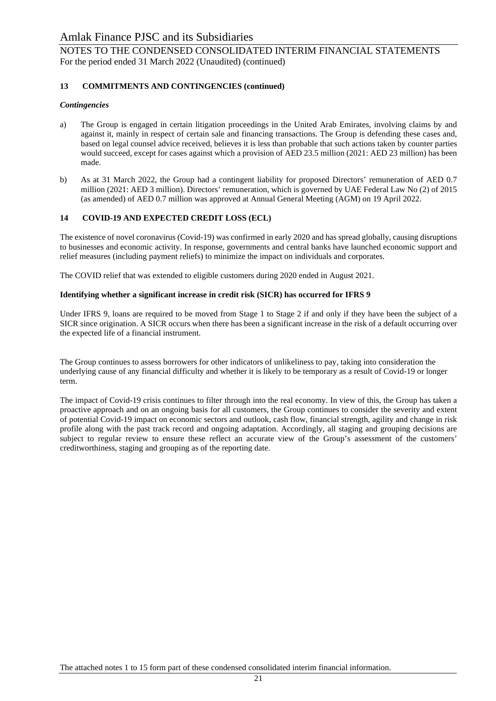NOTES TO THE CONDENSED CONSOLIDATED INTERIM FINANCIAL STATEMENTS For the period ended 31 March 2022 (Unaudited) (continued)

## **13 COMMITMENTS AND CONTINGENCIES (continued)**

## *Contingencies*

- a) The Group is engaged in certain litigation proceedings in the United Arab Emirates, involving claims by and against it, mainly in respect of certain sale and financing transactions. The Group is defending these cases and, based on legal counsel advice received, believes it is less than probable that such actions taken by counter parties would succeed, except for cases against which a provision of AED 23.5 million (2021: AED 23 million) has been made.
- b) As at 31 March 2022, the Group had a contingent liability for proposed Directors' remuneration of AED 0.7 million (2021: AED 3 million). Directors' remuneration, which is governed by UAE Federal Law No (2) of 2015 (as amended) of AED 0.7 million was approved at Annual General Meeting (AGM) on 19 April 2022.

## **14 COVID-19 AND EXPECTED CREDIT LOSS (ECL)**

The existence of novel coronavirus (Covid-19) was confirmed in early 2020 and has spread globally, causing disruptions to businesses and economic activity. In response, governments and central banks have launched economic support and relief measures (including payment reliefs) to minimize the impact on individuals and corporates.

The COVID relief that was extended to eligible customers during 2020 ended in August 2021.

## **Identifying whether a significant increase in credit risk (SICR) has occurred for IFRS 9**

Under IFRS 9, loans are required to be moved from Stage 1 to Stage 2 if and only if they have been the subject of a SICR since origination. A SICR occurs when there has been a significant increase in the risk of a default occurring over the expected life of a financial instrument.

The Group continues to assess borrowers for other indicators of unlikeliness to pay, taking into consideration the underlying cause of any financial difficulty and whether it is likely to be temporary as a result of Covid-19 or longer term.

The impact of Covid-19 crisis continues to filter through into the real economy. In view of this, the Group has taken a proactive approach and on an ongoing basis for all customers, the Group continues to consider the severity and extent of potential Covid-19 impact on economic sectors and outlook, cash flow, financial strength, agility and change in risk profile along with the past track record and ongoing adaptation. Accordingly, all staging and grouping decisions are subject to regular review to ensure these reflect an accurate view of the Group's assessment of the customers' creditworthiness, staging and grouping as of the reporting date.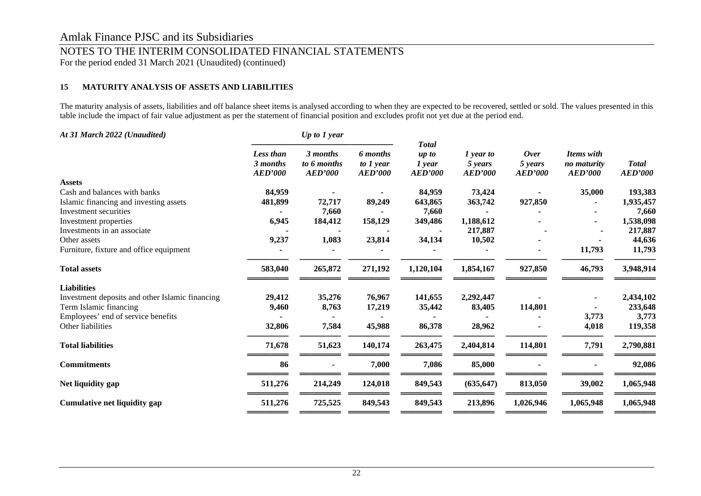## NOTES TO THE INTERIM CONSOLIDATED FINANCIAL STATEMENTS

For the period ended 31 March 2021 (Unaudited) (continued)

## **15 MATURITY ANALYSIS OF ASSETS AND LIABILITIES**

The maturity analysis of assets, liabilities and off balance sheet items is analysed according to when they are expected to be recovered, settled or sold. The values presented in this table include the impact of fair value adjustment as per the statement of financial position and excludes profit not yet due at the period end.

| At 31 March 2022 (Unaudited)                    |                                                | Up to 1 year                              |                                           |                                                       |                                        |                                          |                                             |                                |
|-------------------------------------------------|------------------------------------------------|-------------------------------------------|-------------------------------------------|-------------------------------------------------------|----------------------------------------|------------------------------------------|---------------------------------------------|--------------------------------|
|                                                 | <b>Less than</b><br>3 months<br><b>AED'000</b> | 3 months<br>to 6 months<br><b>AED'000</b> | 6 months<br>to $1$ year<br><b>AED'000</b> | <b>Total</b><br>$up$ to<br>$1$ year<br><b>AED'000</b> | 1 year to<br>5 years<br><b>AED'000</b> | <b>Over</b><br>5 years<br><b>AED'000</b> | Items with<br>no maturity<br><b>AED'000</b> | <b>Total</b><br><b>AED'000</b> |
| <b>Assets</b>                                   |                                                |                                           |                                           |                                                       |                                        |                                          |                                             |                                |
| Cash and balances with banks                    | 84,959                                         |                                           |                                           | 84,959                                                | 73,424                                 |                                          | 35,000                                      | 193,383                        |
| Islamic financing and investing assets          | 481,899                                        | 72,717                                    | 89,249                                    | 643,865                                               | 363,742                                | 927,850                                  |                                             | 1,935,457                      |
| Investment securities                           |                                                | 7,660                                     |                                           | 7,660                                                 |                                        |                                          |                                             | 7,660                          |
| Investment properties                           | 6,945                                          | 184,412                                   | 158,129                                   | 349,486                                               | 1,188,612                              |                                          |                                             | 1,538,098                      |
| Investments in an associate                     |                                                |                                           |                                           |                                                       | 217,887                                |                                          |                                             | 217,887                        |
| Other assets                                    | 9,237                                          | 1,083                                     | 23,814                                    | 34,134                                                | 10,502                                 |                                          |                                             | 44,636                         |
| Furniture, fixture and office equipment         |                                                |                                           |                                           |                                                       |                                        |                                          | 11,793                                      | 11,793                         |
| <b>Total assets</b>                             | 583,040                                        | 265,872                                   | 271,192                                   | 1,120,104                                             | 1,854,167                              | 927,850                                  | 46,793                                      | 3,948,914                      |
| <b>Liabilities</b>                              |                                                |                                           |                                           |                                                       |                                        |                                          |                                             |                                |
| Investment deposits and other Islamic financing | 29,412                                         | 35,276                                    | 76,967                                    | 141,655                                               | 2,292,447                              |                                          |                                             | 2,434,102                      |
| Term Islamic financing                          | 9,460                                          | 8,763                                     | 17,219                                    | 35,442                                                | 83,405                                 | 114,801                                  |                                             | 233,648                        |
| Employees' end of service benefits              |                                                |                                           |                                           |                                                       |                                        |                                          | 3,773                                       | 3,773                          |
| Other liabilities                               | 32,806                                         | 7,584                                     | 45,988                                    | 86,378                                                | 28,962                                 |                                          | 4,018                                       | 119,358                        |
| <b>Total liabilities</b>                        | 71,678                                         | 51,623                                    | 140,174                                   | 263,475                                               | 2,404,814                              | 114,801                                  | 7,791                                       | 2,790,881                      |
| <b>Commitments</b>                              | 86                                             |                                           | 7,000                                     | 7,086                                                 | 85,000                                 |                                          |                                             | 92,086                         |
| Net liquidity gap                               | 511,276                                        | 214,249                                   | 124,018                                   | 849,543                                               | (635, 647)                             | 813,050                                  | 39,002                                      | 1,065,948                      |
| Cumulative net liquidity gap                    | 511,276                                        | 725,525                                   | 849,543                                   | 849,543                                               | 213,896                                | 1,026,946                                | 1,065,948                                   | 1,065,948                      |
|                                                 |                                                |                                           |                                           |                                                       |                                        |                                          |                                             |                                |